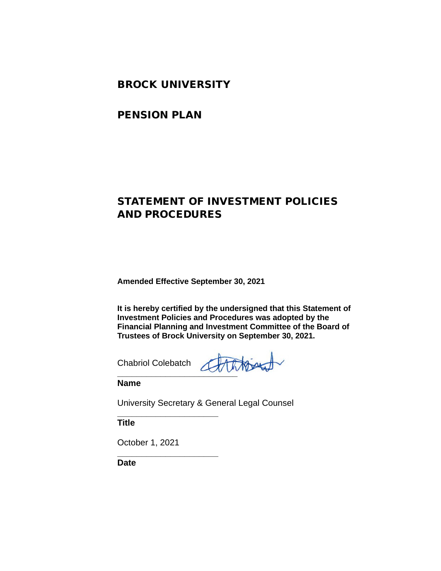### BROCK UNIVERSITY

### PENSION PLAN

## STATEMENT OF INVESTMENT POLICIES AND PROCEDURES

**Amended Effective September 30, 2021**

**It is hereby certified by the undersigned that this Statement of Investment Policies and Procedures was adopted by the Financial Planning and Investment Committee of the Board of Trustees of Brock University on September 30, 2021.**

Chabriol Colebatch

**\_\_\_\_\_\_\_\_\_\_\_\_\_\_\_\_\_\_\_\_\_**

**\_\_\_\_\_\_\_\_\_\_\_\_\_\_\_\_\_\_\_\_\_**

**\_\_\_\_\_\_\_\_\_\_\_\_\_\_\_\_\_\_\_\_\_\_\_\_\_**

**Name**

University Secretary & General Legal Counsel

**Title**

October 1, 2021

**Date**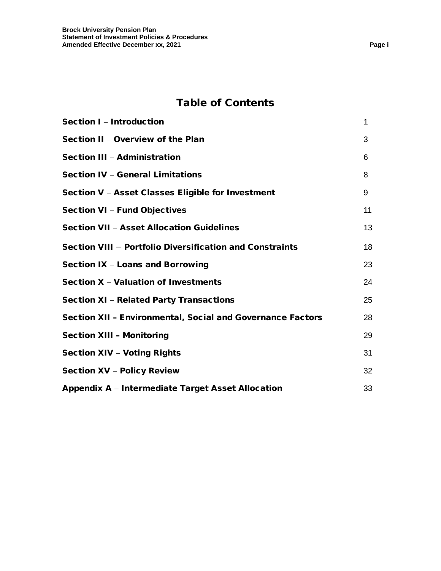## Table of Contents

| Section I - Introduction                                          | 1  |
|-------------------------------------------------------------------|----|
| Section II - Overview of the Plan                                 | 3  |
| Section III - Administration                                      | 6  |
| <b>Section IV - General Limitations</b>                           | 8  |
| Section V - Asset Classes Eligible for Investment                 | 9  |
| <b>Section VI - Fund Objectives</b>                               | 11 |
| <b>Section VII - Asset Allocation Guidelines</b>                  | 13 |
| Section VIII - Portfolio Diversification and Constraints          | 18 |
| Section IX - Loans and Borrowing                                  | 23 |
| Section X - Valuation of Investments                              | 24 |
| <b>Section XI - Related Party Transactions</b>                    | 25 |
| <b>Section XII - Environmental, Social and Governance Factors</b> | 28 |
| <b>Section XIII - Monitoring</b>                                  | 29 |
| <b>Section XIV - Voting Rights</b>                                | 31 |
| <b>Section XV - Policy Review</b>                                 | 32 |
| Appendix A – Intermediate Target Asset Allocation                 | 33 |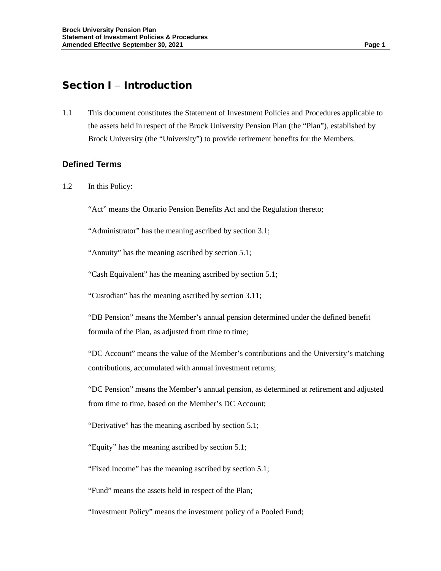## Section I – Introduction

1.1 This document constitutes the Statement of Investment Policies and Procedures applicable to the assets held in respect of the Brock University Pension Plan (the "Plan"), established by Brock University (the "University") to provide retirement benefits for the Members.

### **Defined Terms**

1.2 In this Policy:

"Act" means the Ontario Pension Benefits Act and the Regulation thereto;

"Administrator" has the meaning ascribed by section 3.1;

"Annuity" has the meaning ascribed by section 5.1;

"Cash Equivalent" has the meaning ascribed by section 5.1;

"Custodian" has the meaning ascribed by section 3.11;

"DB Pension" means the Member's annual pension determined under the defined benefit formula of the Plan, as adjusted from time to time;

"DC Account" means the value of the Member's contributions and the University's matching contributions, accumulated with annual investment returns;

"DC Pension" means the Member's annual pension, as determined at retirement and adjusted from time to time, based on the Member's DC Account;

"Derivative" has the meaning ascribed by section 5.1;

"Equity" has the meaning ascribed by section 5.1;

"Fixed Income" has the meaning ascribed by section 5.1;

"Fund" means the assets held in respect of the Plan;

"Investment Policy" means the investment policy of a Pooled Fund;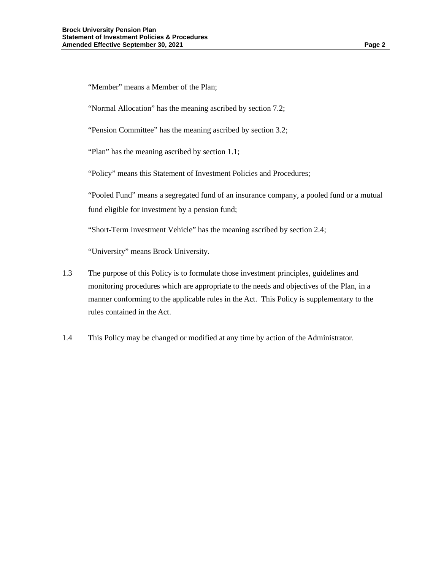"Member" means a Member of the Plan;

"Normal Allocation" has the meaning ascribed by section 7.2;

"Pension Committee" has the meaning ascribed by section 3.2;

"Plan" has the meaning ascribed by section 1.1;

"Policy" means this Statement of Investment Policies and Procedures;

"Pooled Fund" means a segregated fund of an insurance company, a pooled fund or a mutual fund eligible for investment by a pension fund;

"Short-Term Investment Vehicle" has the meaning ascribed by section 2.4;

"University" means Brock University.

- 1.3 The purpose of this Policy is to formulate those investment principles, guidelines and monitoring procedures which are appropriate to the needs and objectives of the Plan, in a manner conforming to the applicable rules in the Act. This Policy is supplementary to the rules contained in the Act.
- 1.4 This Policy may be changed or modified at any time by action of the Administrator.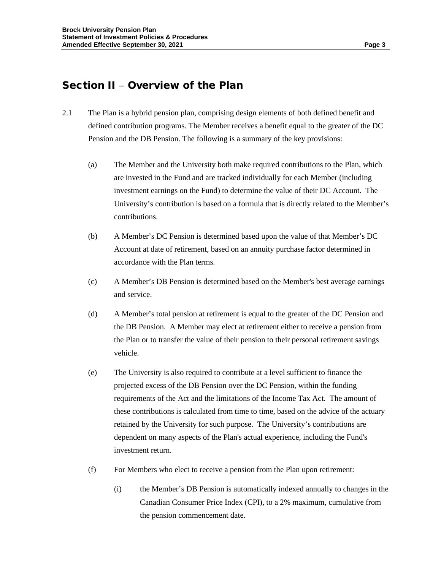### Section II – Overview of the Plan

- 2.1 The Plan is a hybrid pension plan, comprising design elements of both defined benefit and defined contribution programs. The Member receives a benefit equal to the greater of the DC Pension and the DB Pension. The following is a summary of the key provisions:
	- (a) The Member and the University both make required contributions to the Plan, which are invested in the Fund and are tracked individually for each Member (including investment earnings on the Fund) to determine the value of their DC Account. The University's contribution is based on a formula that is directly related to the Member's contributions.
	- (b) A Member's DC Pension is determined based upon the value of that Member's DC Account at date of retirement, based on an annuity purchase factor determined in accordance with the Plan terms.
	- (c) A Member's DB Pension is determined based on the Member's best average earnings and service.
	- (d) A Member's total pension at retirement is equal to the greater of the DC Pension and the DB Pension. A Member may elect at retirement either to receive a pension from the Plan or to transfer the value of their pension to their personal retirement savings vehicle.
	- (e) The University is also required to contribute at a level sufficient to finance the projected excess of the DB Pension over the DC Pension, within the funding requirements of the Act and the limitations of the Income Tax Act. The amount of these contributions is calculated from time to time, based on the advice of the actuary retained by the University for such purpose. The University's contributions are dependent on many aspects of the Plan's actual experience, including the Fund's investment return.
	- (f) For Members who elect to receive a pension from the Plan upon retirement:
		- (i) the Member's DB Pension is automatically indexed annually to changes in the Canadian Consumer Price Index (CPI), to a 2% maximum, cumulative from the pension commencement date.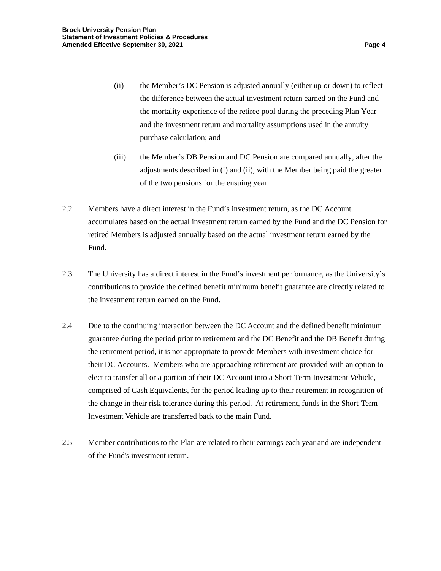- (ii) the Member's DC Pension is adjusted annually (either up or down) to reflect the difference between the actual investment return earned on the Fund and the mortality experience of the retiree pool during the preceding Plan Year and the investment return and mortality assumptions used in the annuity purchase calculation; and
- (iii) the Member's DB Pension and DC Pension are compared annually, after the adjustments described in (i) and (ii), with the Member being paid the greater of the two pensions for the ensuing year.
- 2.2 Members have a direct interest in the Fund's investment return, as the DC Account accumulates based on the actual investment return earned by the Fund and the DC Pension for retired Members is adjusted annually based on the actual investment return earned by the Fund.
- 2.3 The University has a direct interest in the Fund's investment performance, as the University's contributions to provide the defined benefit minimum benefit guarantee are directly related to the investment return earned on the Fund.
- 2.4 Due to the continuing interaction between the DC Account and the defined benefit minimum guarantee during the period prior to retirement and the DC Benefit and the DB Benefit during the retirement period, it is not appropriate to provide Members with investment choice for their DC Accounts. Members who are approaching retirement are provided with an option to elect to transfer all or a portion of their DC Account into a Short-Term Investment Vehicle, comprised of Cash Equivalents, for the period leading up to their retirement in recognition of the change in their risk tolerance during this period. At retirement, funds in the Short-Term Investment Vehicle are transferred back to the main Fund.
- 2.5 Member contributions to the Plan are related to their earnings each year and are independent of the Fund's investment return.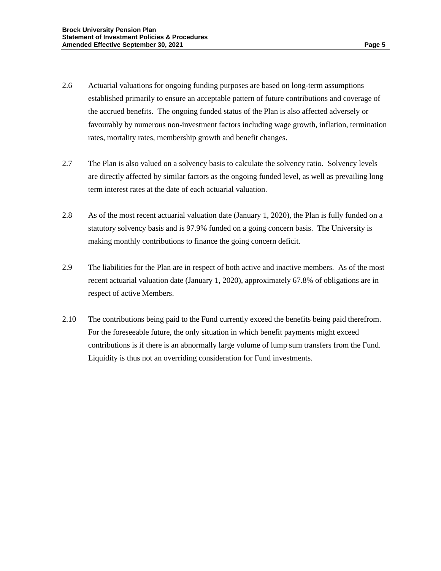- 2.6 Actuarial valuations for ongoing funding purposes are based on long-term assumptions established primarily to ensure an acceptable pattern of future contributions and coverage of the accrued benefits. The ongoing funded status of the Plan is also affected adversely or favourably by numerous non-investment factors including wage growth, inflation, termination rates, mortality rates, membership growth and benefit changes.
- 2.7 The Plan is also valued on a solvency basis to calculate the solvency ratio. Solvency levels are directly affected by similar factors as the ongoing funded level, as well as prevailing long term interest rates at the date of each actuarial valuation.
- 2.8 As of the most recent actuarial valuation date (January 1, 2020), the Plan is fully funded on a statutory solvency basis and is 97.9% funded on a going concern basis. The University is making monthly contributions to finance the going concern deficit.
- 2.9 The liabilities for the Plan are in respect of both active and inactive members. As of the most recent actuarial valuation date (January 1, 2020), approximately 67.8% of obligations are in respect of active Members.
- 2.10 The contributions being paid to the Fund currently exceed the benefits being paid therefrom. For the foreseeable future, the only situation in which benefit payments might exceed contributions is if there is an abnormally large volume of lump sum transfers from the Fund. Liquidity is thus not an overriding consideration for Fund investments.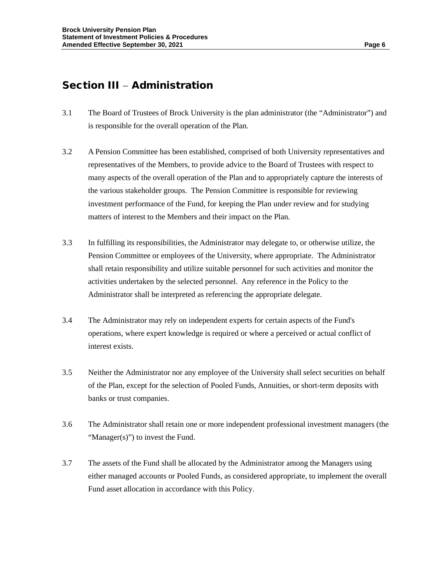## Section III – Administration

- 3.1 The Board of Trustees of Brock University is the plan administrator (the "Administrator") and is responsible for the overall operation of the Plan.
- 3.2 A Pension Committee has been established, comprised of both University representatives and representatives of the Members, to provide advice to the Board of Trustees with respect to many aspects of the overall operation of the Plan and to appropriately capture the interests of the various stakeholder groups. The Pension Committee is responsible for reviewing investment performance of the Fund, for keeping the Plan under review and for studying matters of interest to the Members and their impact on the Plan.
- 3.3 In fulfilling its responsibilities, the Administrator may delegate to, or otherwise utilize, the Pension Committee or employees of the University, where appropriate. The Administrator shall retain responsibility and utilize suitable personnel for such activities and monitor the activities undertaken by the selected personnel. Any reference in the Policy to the Administrator shall be interpreted as referencing the appropriate delegate.
- 3.4 The Administrator may rely on independent experts for certain aspects of the Fund's operations, where expert knowledge is required or where a perceived or actual conflict of interest exists.
- 3.5 Neither the Administrator nor any employee of the University shall select securities on behalf of the Plan, except for the selection of Pooled Funds, Annuities, or short-term deposits with banks or trust companies.
- 3.6 The Administrator shall retain one or more independent professional investment managers (the "Manager(s)") to invest the Fund.
- 3.7 The assets of the Fund shall be allocated by the Administrator among the Managers using either managed accounts or Pooled Funds, as considered appropriate, to implement the overall Fund asset allocation in accordance with this Policy.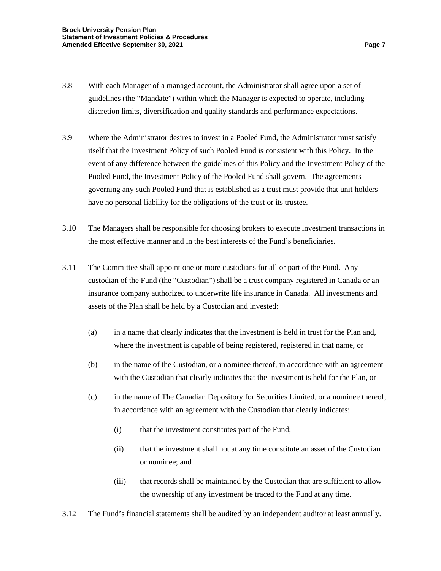- 3.8 With each Manager of a managed account, the Administrator shall agree upon a set of guidelines (the "Mandate") within which the Manager is expected to operate, including discretion limits, diversification and quality standards and performance expectations.
- 3.9 Where the Administrator desires to invest in a Pooled Fund, the Administrator must satisfy itself that the Investment Policy of such Pooled Fund is consistent with this Policy. In the event of any difference between the guidelines of this Policy and the Investment Policy of the Pooled Fund, the Investment Policy of the Pooled Fund shall govern. The agreements governing any such Pooled Fund that is established as a trust must provide that unit holders have no personal liability for the obligations of the trust or its trustee.
- 3.10 The Managers shall be responsible for choosing brokers to execute investment transactions in the most effective manner and in the best interests of the Fund's beneficiaries.
- 3.11 The Committee shall appoint one or more custodians for all or part of the Fund. Any custodian of the Fund (the "Custodian") shall be a trust company registered in Canada or an insurance company authorized to underwrite life insurance in Canada. All investments and assets of the Plan shall be held by a Custodian and invested:
	- (a) in a name that clearly indicates that the investment is held in trust for the Plan and, where the investment is capable of being registered, registered in that name, or
	- (b) in the name of the Custodian, or a nominee thereof, in accordance with an agreement with the Custodian that clearly indicates that the investment is held for the Plan, or
	- (c) in the name of The Canadian Depository for Securities Limited, or a nominee thereof, in accordance with an agreement with the Custodian that clearly indicates:
		- (i) that the investment constitutes part of the Fund;
		- (ii) that the investment shall not at any time constitute an asset of the Custodian or nominee; and
		- (iii) that records shall be maintained by the Custodian that are sufficient to allow the ownership of any investment be traced to the Fund at any time.
- 3.12 The Fund's financial statements shall be audited by an independent auditor at least annually.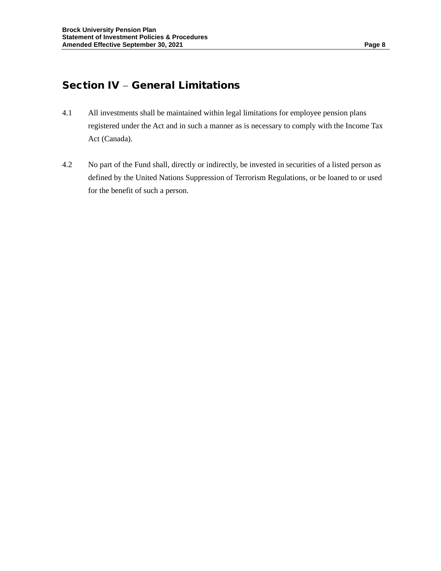## Section IV – General Limitations

- 4.1 All investments shall be maintained within legal limitations for employee pension plans registered under the Act and in such a manner as is necessary to comply with the Income Tax Act (Canada).
- 4.2 No part of the Fund shall, directly or indirectly, be invested in securities of a listed person as defined by the United Nations Suppression of Terrorism Regulations, or be loaned to or used for the benefit of such a person.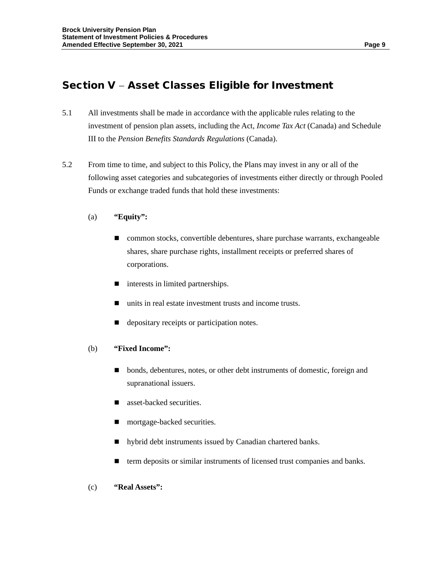# Section V − Asset Classes Eligible for Investment

- 5.1 All investments shall be made in accordance with the applicable rules relating to the investment of pension plan assets, including the Act, *Income Tax Act* (Canada) and Schedule III to the *Pension Benefits Standards Regulations* (Canada).
- 5.2 From time to time, and subject to this Policy, the Plans may invest in any or all of the following asset categories and subcategories of investments either directly or through Pooled Funds or exchange traded funds that hold these investments:
	- (a) **"Equity":**
		- common stocks, convertible debentures, share purchase warrants, exchangeable shares, share purchase rights, installment receipts or preferred shares of corporations.
		- interests in limited partnerships.
		- units in real estate investment trusts and income trusts.
		- e depositary receipts or participation notes.

#### (b) **"Fixed Income":**

- **Dependient** bonds, debentures, notes, or other debt instruments of domestic, foreign and supranational issuers.
- asset-backed securities.
- **n** mortgage-backed securities.
- $\blacksquare$  hybrid debt instruments issued by Canadian chartered banks.
- term deposits or similar instruments of licensed trust companies and banks.
- (c) **"Real Assets":**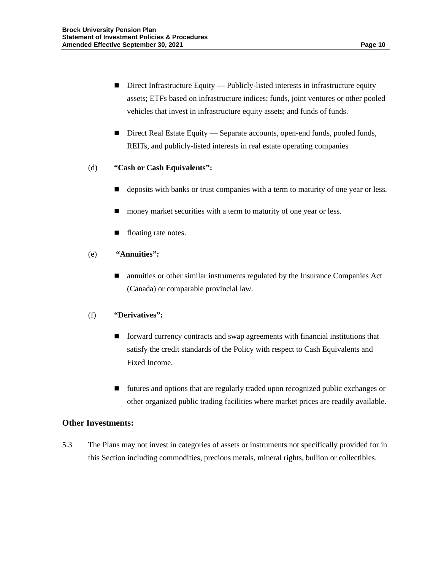- Direct Infrastructure Equity Publicly-listed interests in infrastructure equity assets; ETFs based on infrastructure indices; funds, joint ventures or other pooled vehicles that invest in infrastructure equity assets; and funds of funds.
- Direct Real Estate Equity Separate accounts, open-end funds, pooled funds, REITs, and publicly-listed interests in real estate operating companies

#### (d) **"Cash or Cash Equivalents":**

- deposits with banks or trust companies with a term to maturity of one year or less.
- money market securities with a term to maturity of one year or less.
- floating rate notes.
- (e) **"Annuities":**
	- annuities or other similar instruments regulated by the Insurance Companies Act (Canada) or comparable provincial law.

#### (f) **"Derivatives":**

- **forward currency contracts and swap agreements with financial institutions that** satisfy the credit standards of the Policy with respect to Cash Equivalents and Fixed Income.
- futures and options that are regularly traded upon recognized public exchanges or other organized public trading facilities where market prices are readily available.

#### **Other Investments:**

5.3 The Plans may not invest in categories of assets or instruments not specifically provided for in this Section including commodities, precious metals, mineral rights, bullion or collectibles.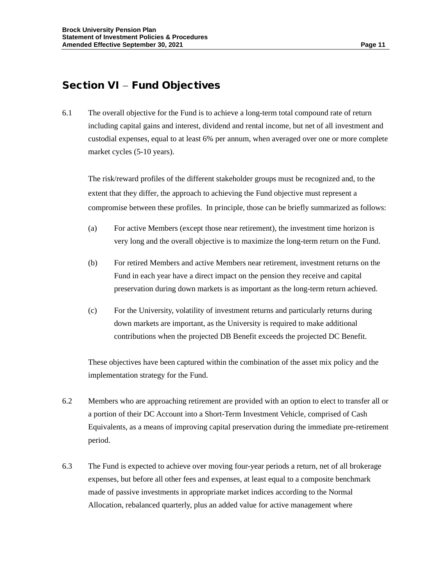## Section VI – Fund Objectives

6.1 The overall objective for the Fund is to achieve a long-term total compound rate of return including capital gains and interest, dividend and rental income, but net of all investment and custodial expenses, equal to at least 6% per annum, when averaged over one or more complete market cycles (5-10 years).

The risk/reward profiles of the different stakeholder groups must be recognized and, to the extent that they differ, the approach to achieving the Fund objective must represent a compromise between these profiles. In principle, those can be briefly summarized as follows:

- (a) For active Members (except those near retirement), the investment time horizon is very long and the overall objective is to maximize the long-term return on the Fund.
- (b) For retired Members and active Members near retirement, investment returns on the Fund in each year have a direct impact on the pension they receive and capital preservation during down markets is as important as the long-term return achieved.
- (c) For the University, volatility of investment returns and particularly returns during down markets are important, as the University is required to make additional contributions when the projected DB Benefit exceeds the projected DC Benefit.

These objectives have been captured within the combination of the asset mix policy and the implementation strategy for the Fund.

- 6.2 Members who are approaching retirement are provided with an option to elect to transfer all or a portion of their DC Account into a Short-Term Investment Vehicle, comprised of Cash Equivalents, as a means of improving capital preservation during the immediate pre-retirement period.
- 6.3 The Fund is expected to achieve over moving four-year periods a return, net of all brokerage expenses, but before all other fees and expenses, at least equal to a composite benchmark made of passive investments in appropriate market indices according to the Normal Allocation, rebalanced quarterly, plus an added value for active management where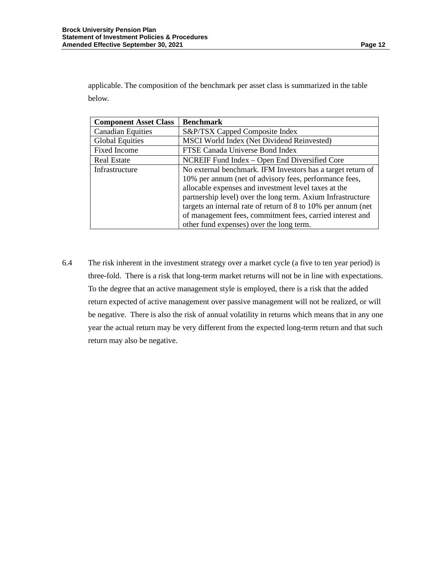applicable. The composition of the benchmark per asset class is summarized in the table below.

| <b>Component Asset Class</b> | <b>Benchmark</b>                                              |
|------------------------------|---------------------------------------------------------------|
| <b>Canadian Equities</b>     | S&P/TSX Capped Composite Index                                |
| <b>Global Equities</b>       | MSCI World Index (Net Dividend Reinvested)                    |
| <b>Fixed Income</b>          | FTSE Canada Universe Bond Index                               |
| <b>Real Estate</b>           | NCREIF Fund Index - Open End Diversified Core                 |
| Infrastructure               | No external benchmark. IFM Investors has a target return of   |
|                              | 10% per annum (net of advisory fees, performance fees,        |
|                              | allocable expenses and investment level taxes at the          |
|                              | partnership level) over the long term. Axium Infrastructure   |
|                              | targets an internal rate of return of 8 to 10% per annum (net |
|                              | of management fees, commitment fees, carried interest and     |
|                              | other fund expenses) over the long term.                      |

6.4 The risk inherent in the investment strategy over a market cycle (a five to ten year period) is three-fold. There is a risk that long-term market returns will not be in line with expectations. To the degree that an active management style is employed, there is a risk that the added return expected of active management over passive management will not be realized, or will be negative. There is also the risk of annual volatility in returns which means that in any one year the actual return may be very different from the expected long-term return and that such return may also be negative.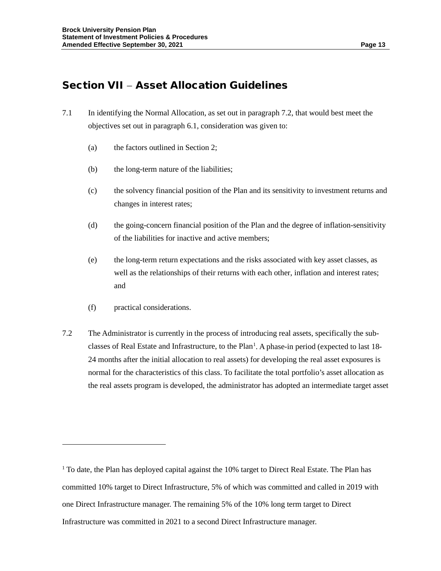## Section VII − Asset Allocation Guidelines

- 7.1 In identifying the Normal Allocation, as set out in paragraph 7.2, that would best meet the objectives set out in paragraph 6.1, consideration was given to:
	- (a) the factors outlined in Section 2;
	- (b) the long-term nature of the liabilities;
	- (c) the solvency financial position of the Plan and its sensitivity to investment returns and changes in interest rates;
	- (d) the going-concern financial position of the Plan and the degree of inflation-sensitivity of the liabilities for inactive and active members;
	- (e) the long-term return expectations and the risks associated with key asset classes, as well as the relationships of their returns with each other, inflation and interest rates; and
	- (f) practical considerations.
- 7.2 The Administrator is currently in the process of introducing real assets, specifically the sub-classes of Real Estate and Infrastructure, to the Plan<sup>[1](#page-14-0)</sup>. A phase-in period (expected to last 18-24 months after the initial allocation to real assets) for developing the real asset exposures is normal for the characteristics of this class. To facilitate the total portfolio's asset allocation as the real assets program is developed, the administrator has adopted an intermediate target asset

<span id="page-14-0"></span><sup>&</sup>lt;sup>1</sup> To date, the Plan has deployed capital against the 10% target to Direct Real Estate. The Plan has committed 10% target to Direct Infrastructure, 5% of which was committed and called in 2019 with one Direct Infrastructure manager. The remaining 5% of the 10% long term target to Direct Infrastructure was committed in 2021 to a second Direct Infrastructure manager.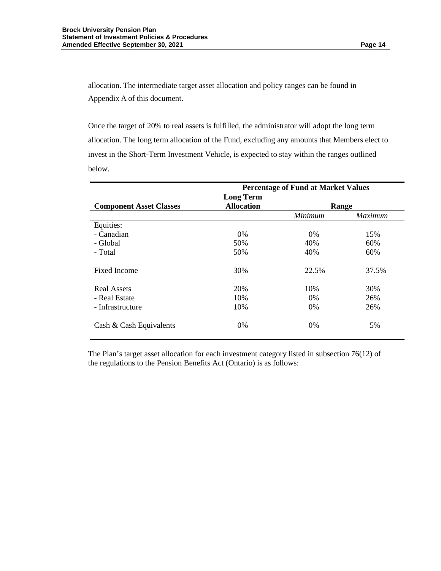allocation. The intermediate target asset allocation and policy ranges can be found in Appendix A of this document.

Once the target of 20% to real assets is fulfilled, the administrator will adopt the long term allocation. The long term allocation of the Fund, excluding any amounts that Members elect to invest in the Short-Term Investment Vehicle, is expected to stay within the ranges outlined below.

|                                | <b>Percentage of Fund at Market Values</b> |         |                |
|--------------------------------|--------------------------------------------|---------|----------------|
|                                | <b>Long Term</b>                           |         |                |
| <b>Component Asset Classes</b> | <b>Allocation</b>                          | Range   |                |
|                                |                                            | Minimum | <b>Maximum</b> |
| Equities:                      |                                            |         |                |
| - Canadian                     | $0\%$                                      | $0\%$   | 15%            |
| - Global                       | 50%                                        | 40%     | 60%            |
| - Total                        | 50%                                        | 40%     | 60%            |
| Fixed Income                   | 30%                                        | 22.5%   | 37.5%          |
| <b>Real Assets</b>             | 20%                                        | 10%     | 30%            |
| - Real Estate                  | 10%                                        | $0\%$   | 26%            |
| - Infrastructure               | 10%                                        | $0\%$   | 26%            |
| Cash & Cash Equivalents        | 0%                                         | 0%      | 5%             |

The Plan's target asset allocation for each investment category listed in subsection 76(12) of the regulations to the Pension Benefits Act (Ontario) is as follows: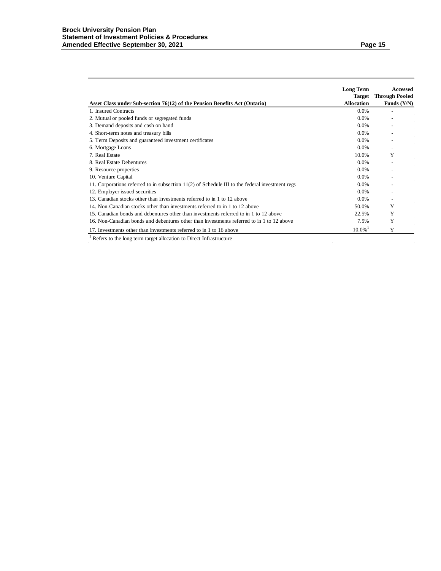|                                                                                                   | <b>Long Term</b><br><b>Target</b> | Accessed<br><b>Through Pooled</b> |
|---------------------------------------------------------------------------------------------------|-----------------------------------|-----------------------------------|
| Asset Class under Sub-section 76(12) of the Pension Benefits Act (Ontario)                        | <b>Allocation</b>                 | Funds $(Y/N)$                     |
| 1. Insured Contracts                                                                              | $0.0\%$                           |                                   |
| 2. Mutual or pooled funds or segregated funds                                                     | $0.0\%$                           |                                   |
| 3. Demand deposits and cash on hand                                                               | $0.0\%$                           |                                   |
| 4. Short-term notes and treasury bills                                                            | $0.0\%$                           |                                   |
| 5. Term Deposits and guaranteed investment certificates                                           | $0.0\%$                           |                                   |
| 6. Mortgage Loans                                                                                 | $0.0\%$                           |                                   |
| 7. Real Estate                                                                                    | 10.0%                             | Y                                 |
| 8. Real Estate Debentures                                                                         | $0.0\%$                           |                                   |
| 9. Resource properties                                                                            | 0.0%                              |                                   |
| 10. Venture Capital                                                                               | $0.0\%$                           |                                   |
| 11. Corporations referred to in subsection $11(2)$ of Schedule III to the federal investment regs | $0.0\%$                           |                                   |
| 12. Employer issued securities                                                                    | $0.0\%$                           |                                   |
| 13. Canadian stocks other than investments referred to in 1 to 12 above                           | $0.0\%$                           |                                   |
| 14. Non-Canadian stocks other than investments referred to in 1 to 12 above                       | 50.0%                             | Y                                 |
| 15. Canadian bonds and debentures other than investments referred to in 1 to 12 above             | 22.5%                             | Y                                 |
| 16. Non-Canadian bonds and debentures other than investments referred to in 1 to 12 above         | 7.5%                              | Y                                 |
| 17. Investments other than investments referred to in 1 to 16 above                               | $10.0\%$                          | Y                                 |
| Refers to the long term target allocation to Direct Infrastructure                                |                                   |                                   |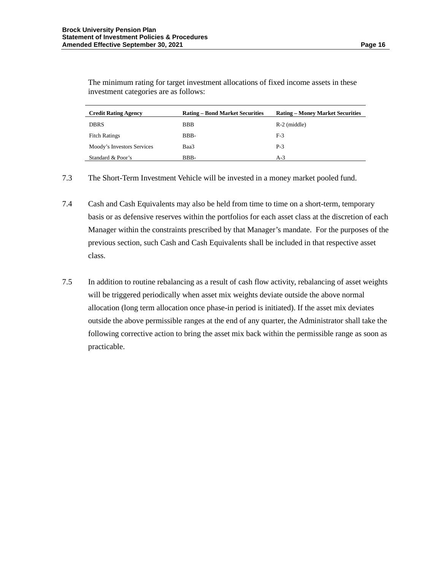The minimum rating for target investment allocations of fixed income assets in these investment categories are as follows:

| <b>Credit Rating Agency</b> | <b>Rating – Bond Market Securities</b> | <b>Rating – Money Market Securities</b> |
|-----------------------------|----------------------------------------|-----------------------------------------|
| <b>DBRS</b>                 | <b>BBB</b>                             | $R-2$ (middle)                          |
| <b>Fitch Ratings</b>        | BBB-                                   | $F-3$                                   |
| Moody's Investors Services  | Baa3                                   | $P-3$                                   |
| Standard & Poor's           | BBB-                                   | $A-3$                                   |

7.3 The Short-Term Investment Vehicle will be invested in a money market pooled fund.

- 7.4 Cash and Cash Equivalents may also be held from time to time on a short-term, temporary basis or as defensive reserves within the portfolios for each asset class at the discretion of each Manager within the constraints prescribed by that Manager's mandate. For the purposes of the previous section, such Cash and Cash Equivalents shall be included in that respective asset class.
- 7.5 In addition to routine rebalancing as a result of cash flow activity, rebalancing of asset weights will be triggered periodically when asset mix weights deviate outside the above normal allocation (long term allocation once phase-in period is initiated). If the asset mix deviates outside the above permissible ranges at the end of any quarter, the Administrator shall take the following corrective action to bring the asset mix back within the permissible range as soon as practicable.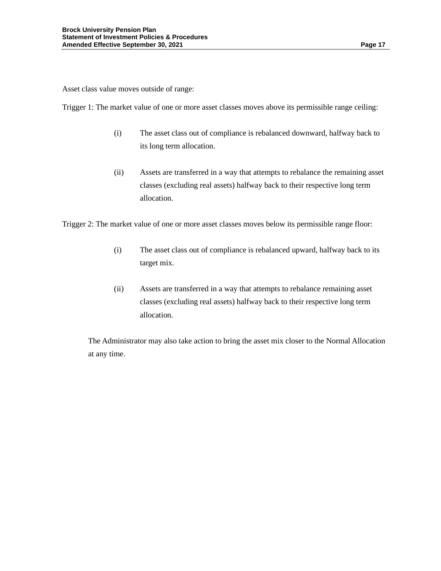Asset class value moves outside of range:

Trigger 1: The market value of one or more asset classes moves above its permissible range ceiling:

- (i) The asset class out of compliance is rebalanced downward, halfway back to its long term allocation.
- (ii) Assets are transferred in a way that attempts to rebalance the remaining asset classes (excluding real assets) halfway back to their respective long term allocation.

Trigger 2: The market value of one or more asset classes moves below its permissible range floor:

- (i) The asset class out of compliance is rebalanced upward, halfway back to its target mix.
- (ii) Assets are transferred in a way that attempts to rebalance remaining asset classes (excluding real assets) halfway back to their respective long term allocation.

The Administrator may also take action to bring the asset mix closer to the Normal Allocation at any time.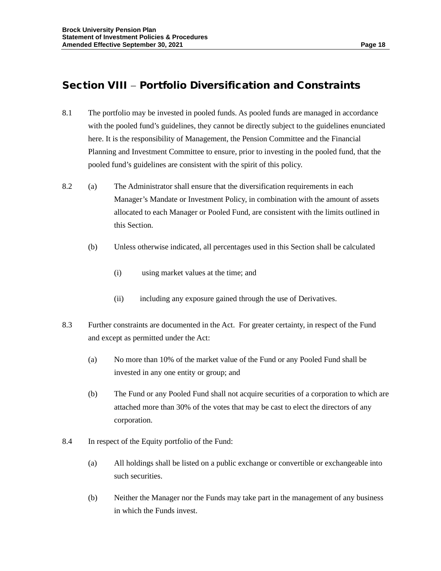# Section VIII − Portfolio Diversification and Constraints

- 8.1 The portfolio may be invested in pooled funds. As pooled funds are managed in accordance with the pooled fund's guidelines, they cannot be directly subject to the guidelines enunciated here. It is the responsibility of Management, the Pension Committee and the Financial Planning and Investment Committee to ensure, prior to investing in the pooled fund, that the pooled fund's guidelines are consistent with the spirit of this policy.
- 8.2 (a) The Administrator shall ensure that the diversification requirements in each Manager's Mandate or Investment Policy, in combination with the amount of assets allocated to each Manager or Pooled Fund, are consistent with the limits outlined in this Section.
	- (b) Unless otherwise indicated, all percentages used in this Section shall be calculated
		- (i) using market values at the time; and
		- (ii) including any exposure gained through the use of Derivatives.
- 8.3 Further constraints are documented in the Act. For greater certainty, in respect of the Fund and except as permitted under the Act:
	- (a) No more than 10% of the market value of the Fund or any Pooled Fund shall be invested in any one entity or group; and
	- (b) The Fund or any Pooled Fund shall not acquire securities of a corporation to which are attached more than 30% of the votes that may be cast to elect the directors of any corporation.
- 8.4 In respect of the Equity portfolio of the Fund:
	- (a) All holdings shall be listed on a public exchange or convertible or exchangeable into such securities.
	- (b) Neither the Manager nor the Funds may take part in the management of any business in which the Funds invest.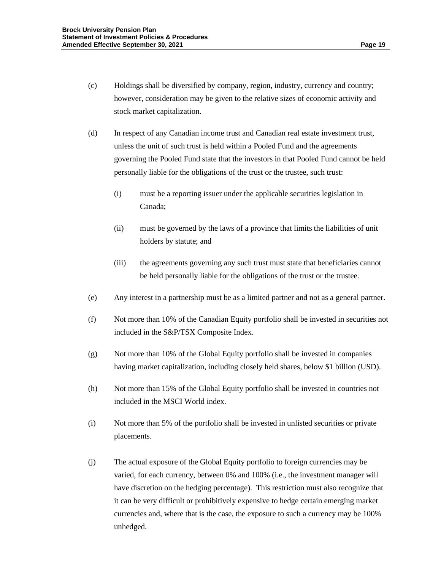- (c) Holdings shall be diversified by company, region, industry, currency and country; however, consideration may be given to the relative sizes of economic activity and stock market capitalization.
- (d) In respect of any Canadian income trust and Canadian real estate investment trust, unless the unit of such trust is held within a Pooled Fund and the agreements governing the Pooled Fund state that the investors in that Pooled Fund cannot be held personally liable for the obligations of the trust or the trustee, such trust:
	- (i) must be a reporting issuer under the applicable securities legislation in Canada;
	- (ii) must be governed by the laws of a province that limits the liabilities of unit holders by statute; and
	- (iii) the agreements governing any such trust must state that beneficiaries cannot be held personally liable for the obligations of the trust or the trustee.
- (e) Any interest in a partnership must be as a limited partner and not as a general partner.
- (f) Not more than 10% of the Canadian Equity portfolio shall be invested in securities not included in the S&P/TSX Composite Index.
- (g) Not more than 10% of the Global Equity portfolio shall be invested in companies having market capitalization, including closely held shares, below \$1 billion (USD).
- (h) Not more than 15% of the Global Equity portfolio shall be invested in countries not included in the MSCI World index.
- (i) Not more than 5% of the portfolio shall be invested in unlisted securities or private placements.
- (j) The actual exposure of the Global Equity portfolio to foreign currencies may be varied, for each currency, between 0% and 100% (i.e., the investment manager will have discretion on the hedging percentage). This restriction must also recognize that it can be very difficult or prohibitively expensive to hedge certain emerging market currencies and, where that is the case, the exposure to such a currency may be 100% unhedged.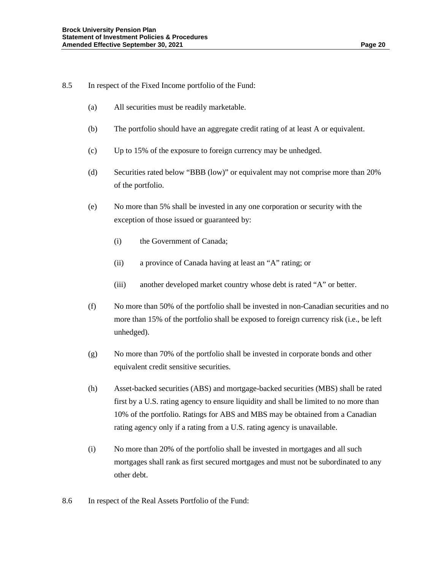- 8.5 In respect of the Fixed Income portfolio of the Fund:
	- (a) All securities must be readily marketable.
	- (b) The portfolio should have an aggregate credit rating of at least A or equivalent.
	- (c) Up to 15% of the exposure to foreign currency may be unhedged.
	- (d) Securities rated below "BBB (low)" or equivalent may not comprise more than 20% of the portfolio.
	- (e) No more than 5% shall be invested in any one corporation or security with the exception of those issued or guaranteed by:
		- (i) the Government of Canada;
		- (ii) a province of Canada having at least an "A" rating; or
		- (iii) another developed market country whose debt is rated "A" or better.
	- (f) No more than 50% of the portfolio shall be invested in non-Canadian securities and no more than 15% of the portfolio shall be exposed to foreign currency risk (i.e., be left unhedged).
	- (g) No more than 70% of the portfolio shall be invested in corporate bonds and other equivalent credit sensitive securities.
	- (h) Asset-backed securities (ABS) and mortgage-backed securities (MBS) shall be rated first by a U.S. rating agency to ensure liquidity and shall be limited to no more than 10% of the portfolio. Ratings for ABS and MBS may be obtained from a Canadian rating agency only if a rating from a U.S. rating agency is unavailable.
	- (i) No more than 20% of the portfolio shall be invested in mortgages and all such mortgages shall rank as first secured mortgages and must not be subordinated to any other debt.
- 8.6 In respect of the Real Assets Portfolio of the Fund: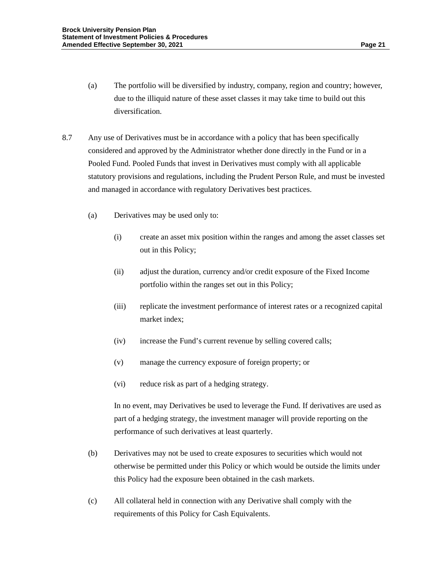- (a) The portfolio will be diversified by industry, company, region and country; however, due to the illiquid nature of these asset classes it may take time to build out this diversification.
- 8.7 Any use of Derivatives must be in accordance with a policy that has been specifically considered and approved by the Administrator whether done directly in the Fund or in a Pooled Fund. Pooled Funds that invest in Derivatives must comply with all applicable statutory provisions and regulations, including the Prudent Person Rule, and must be invested and managed in accordance with regulatory Derivatives best practices.
	- (a) Derivatives may be used only to:
		- (i) create an asset mix position within the ranges and among the asset classes set out in this Policy;
		- (ii) adjust the duration, currency and/or credit exposure of the Fixed Income portfolio within the ranges set out in this Policy;
		- (iii) replicate the investment performance of interest rates or a recognized capital market index;
		- (iv) increase the Fund's current revenue by selling covered calls;
		- (v) manage the currency exposure of foreign property; or
		- (vi) reduce risk as part of a hedging strategy.

In no event, may Derivatives be used to leverage the Fund. If derivatives are used as part of a hedging strategy, the investment manager will provide reporting on the performance of such derivatives at least quarterly.

- (b) Derivatives may not be used to create exposures to securities which would not otherwise be permitted under this Policy or which would be outside the limits under this Policy had the exposure been obtained in the cash markets.
- (c) All collateral held in connection with any Derivative shall comply with the requirements of this Policy for Cash Equivalents.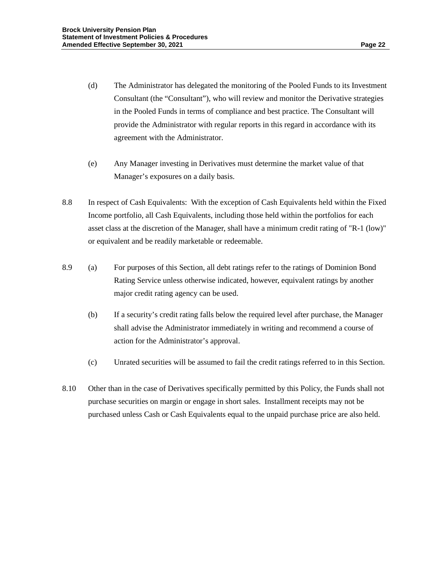- (d) The Administrator has delegated the monitoring of the Pooled Funds to its Investment Consultant (the "Consultant"), who will review and monitor the Derivative strategies in the Pooled Funds in terms of compliance and best practice. The Consultant will provide the Administrator with regular reports in this regard in accordance with its agreement with the Administrator.
- (e) Any Manager investing in Derivatives must determine the market value of that Manager's exposures on a daily basis.
- 8.8 In respect of Cash Equivalents: With the exception of Cash Equivalents held within the Fixed Income portfolio, all Cash Equivalents, including those held within the portfolios for each asset class at the discretion of the Manager, shall have a minimum credit rating of "R-1 (low)" or equivalent and be readily marketable or redeemable.
- 8.9 (a) For purposes of this Section, all debt ratings refer to the ratings of Dominion Bond Rating Service unless otherwise indicated, however, equivalent ratings by another major credit rating agency can be used.
	- (b) If a security's credit rating falls below the required level after purchase, the Manager shall advise the Administrator immediately in writing and recommend a course of action for the Administrator's approval.
	- (c) Unrated securities will be assumed to fail the credit ratings referred to in this Section.
- 8.10 Other than in the case of Derivatives specifically permitted by this Policy, the Funds shall not purchase securities on margin or engage in short sales. Installment receipts may not be purchased unless Cash or Cash Equivalents equal to the unpaid purchase price are also held.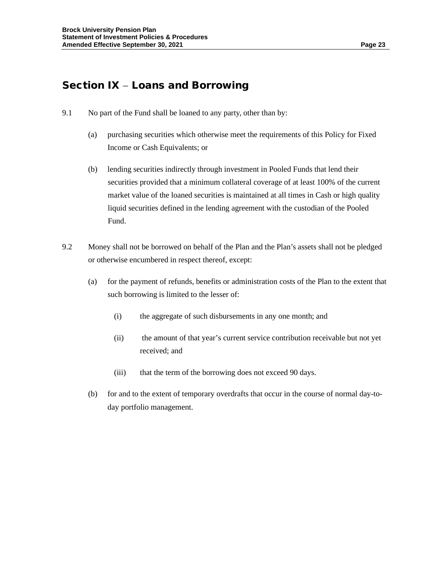## Section IX − Loans and Borrowing

- 9.1 No part of the Fund shall be loaned to any party, other than by:
	- (a) purchasing securities which otherwise meet the requirements of this Policy for Fixed Income or Cash Equivalents; or
	- (b) lending securities indirectly through investment in Pooled Funds that lend their securities provided that a minimum collateral coverage of at least 100% of the current market value of the loaned securities is maintained at all times in Cash or high quality liquid securities defined in the lending agreement with the custodian of the Pooled Fund.
- 9.2 Money shall not be borrowed on behalf of the Plan and the Plan's assets shall not be pledged or otherwise encumbered in respect thereof, except:
	- (a) for the payment of refunds, benefits or administration costs of the Plan to the extent that such borrowing is limited to the lesser of:
		- (i) the aggregate of such disbursements in any one month; and
		- (ii) the amount of that year's current service contribution receivable but not yet received; and
		- (iii) that the term of the borrowing does not exceed 90 days.
	- (b) for and to the extent of temporary overdrafts that occur in the course of normal day-today portfolio management.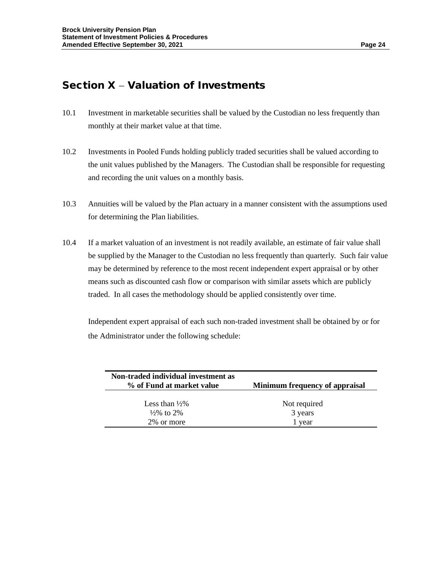## Section X − Valuation of Investments

- 10.1 Investment in marketable securities shall be valued by the Custodian no less frequently than monthly at their market value at that time.
- 10.2 Investments in Pooled Funds holding publicly traded securities shall be valued according to the unit values published by the Managers. The Custodian shall be responsible for requesting and recording the unit values on a monthly basis.
- 10.3 Annuities will be valued by the Plan actuary in a manner consistent with the assumptions used for determining the Plan liabilities.
- 10.4 If a market valuation of an investment is not readily available, an estimate of fair value shall be supplied by the Manager to the Custodian no less frequently than quarterly. Such fair value may be determined by reference to the most recent independent expert appraisal or by other means such as discounted cash flow or comparison with similar assets which are publicly traded. In all cases the methodology should be applied consistently over time.

Independent expert appraisal of each such non-traded investment shall be obtained by or for the Administrator under the following schedule:

| Non-traded individual investment as<br>% of Fund at market value | Minimum frequency of appraisal |
|------------------------------------------------------------------|--------------------------------|
| Less than $\frac{1}{2}\%$                                        | Not required                   |
| $\frac{1}{2}\%$ to 2\%                                           | 3 years                        |
| 2% or more                                                       | 1 year                         |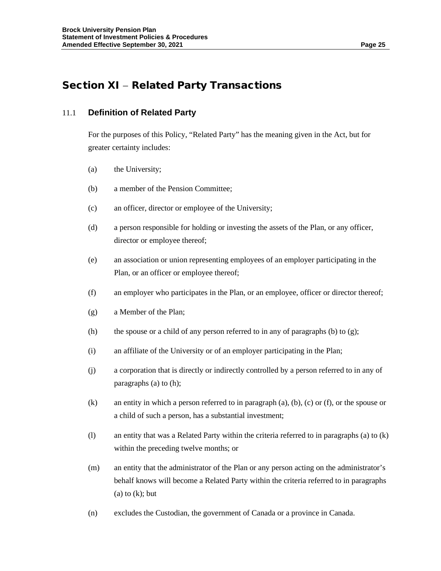# Section XI − Related Party Transactions

#### 11.1 **Definition of Related Party**

For the purposes of this Policy, "Related Party" has the meaning given in the Act, but for greater certainty includes:

- (a) the University;
- (b) a member of the Pension Committee;
- (c) an officer, director or employee of the University;
- (d) a person responsible for holding or investing the assets of the Plan, or any officer, director or employee thereof;
- (e) an association or union representing employees of an employer participating in the Plan, or an officer or employee thereof;
- (f) an employer who participates in the Plan, or an employee, officer or director thereof;
- (g) a Member of the Plan;
- (h) the spouse or a child of any person referred to in any of paragraphs (b) to  $(g)$ ;
- (i) an affiliate of the University or of an employer participating in the Plan;
- (j) a corporation that is directly or indirectly controlled by a person referred to in any of paragraphs (a) to (h);
- (k) an entity in which a person referred to in paragraph (a), (b), (c) or (f), or the spouse or a child of such a person, has a substantial investment;
- (l) an entity that was a Related Party within the criteria referred to in paragraphs (a) to (k) within the preceding twelve months; or
- (m) an entity that the administrator of the Plan or any person acting on the administrator's behalf knows will become a Related Party within the criteria referred to in paragraphs  $(a)$  to  $(k)$ ; but
- (n) excludes the Custodian, the government of Canada or a province in Canada.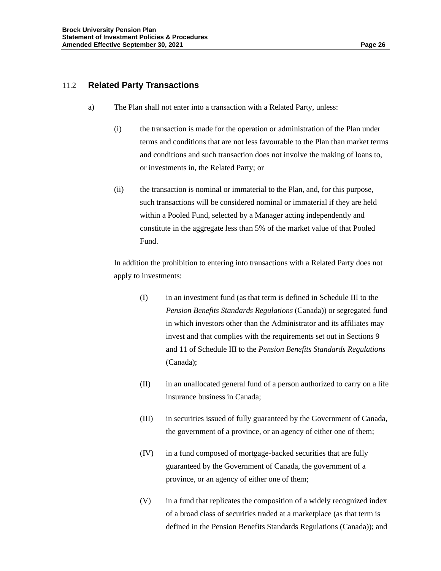#### 11.2 **Related Party Transactions**

- a) The Plan shall not enter into a transaction with a Related Party, unless:
	- (i) the transaction is made for the operation or administration of the Plan under terms and conditions that are not less favourable to the Plan than market terms and conditions and such transaction does not involve the making of loans to, or investments in, the Related Party; or
	- (ii) the transaction is nominal or immaterial to the Plan, and, for this purpose, such transactions will be considered nominal or immaterial if they are held within a Pooled Fund, selected by a Manager acting independently and constitute in the aggregate less than 5% of the market value of that Pooled Fund.

In addition the prohibition to entering into transactions with a Related Party does not apply to investments:

- (I) in an investment fund (as that term is defined in Schedule III to the *Pension Benefits Standards Regulations* (Canada)) or segregated fund in which investors other than the Administrator and its affiliates may invest and that complies with the requirements set out in Sections 9 and 11 of Schedule III to the *Pension Benefits Standards Regulations* (Canada);
- (II) in an unallocated general fund of a person authorized to carry on a life insurance business in Canada;
- (III) in securities issued of fully guaranteed by the Government of Canada, the government of a province, or an agency of either one of them;
- (IV) in a fund composed of mortgage-backed securities that are fully guaranteed by the Government of Canada, the government of a province, or an agency of either one of them;
- (V) in a fund that replicates the composition of a widely recognized index of a broad class of securities traded at a marketplace (as that term is defined in the Pension Benefits Standards Regulations (Canada)); and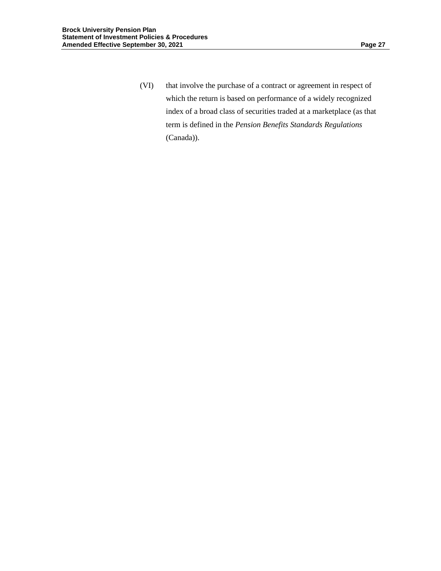(VI) that involve the purchase of a contract or agreement in respect of which the return is based on performance of a widely recognized index of a broad class of securities traded at a marketplace (as that term is defined in the *Pension Benefits Standards Regulations* (Canada)).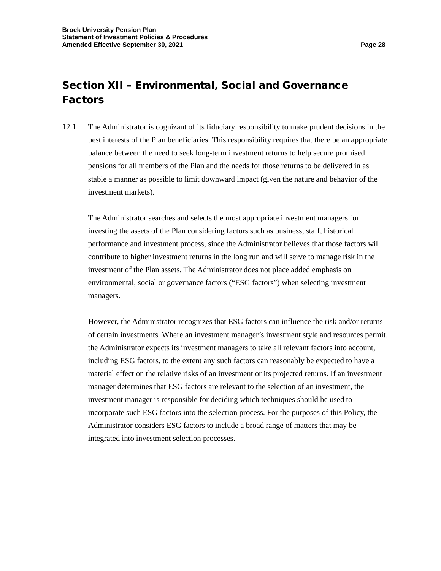# Section XII – Environmental, Social and Governance Factors

12.1 The Administrator is cognizant of its fiduciary responsibility to make prudent decisions in the best interests of the Plan beneficiaries. This responsibility requires that there be an appropriate balance between the need to seek long-term investment returns to help secure promised pensions for all members of the Plan and the needs for those returns to be delivered in as stable a manner as possible to limit downward impact (given the nature and behavior of the investment markets).

The Administrator searches and selects the most appropriate investment managers for investing the assets of the Plan considering factors such as business, staff, historical performance and investment process, since the Administrator believes that those factors will contribute to higher investment returns in the long run and will serve to manage risk in the investment of the Plan assets. The Administrator does not place added emphasis on environmental, social or governance factors ("ESG factors") when selecting investment managers.

However, the Administrator recognizes that ESG factors can influence the risk and/or returns of certain investments. Where an investment manager's investment style and resources permit, the Administrator expects its investment managers to take all relevant factors into account, including ESG factors, to the extent any such factors can reasonably be expected to have a material effect on the relative risks of an investment or its projected returns. If an investment manager determines that ESG factors are relevant to the selection of an investment, the investment manager is responsible for deciding which techniques should be used to incorporate such ESG factors into the selection process. For the purposes of this Policy, the Administrator considers ESG factors to include a broad range of matters that may be integrated into investment selection processes.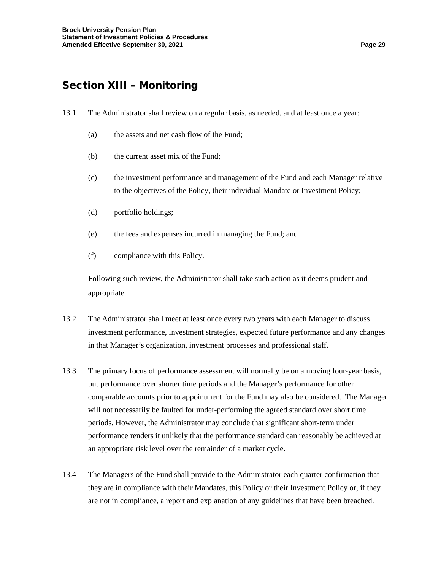# Section XIII – Monitoring

- 13.1 The Administrator shall review on a regular basis, as needed, and at least once a year:
	- (a) the assets and net cash flow of the Fund;
	- (b) the current asset mix of the Fund;
	- (c) the investment performance and management of the Fund and each Manager relative to the objectives of the Policy, their individual Mandate or Investment Policy;
	- (d) portfolio holdings;
	- (e) the fees and expenses incurred in managing the Fund; and
	- (f) compliance with this Policy.

Following such review, the Administrator shall take such action as it deems prudent and appropriate.

- 13.2 The Administrator shall meet at least once every two years with each Manager to discuss investment performance, investment strategies, expected future performance and any changes in that Manager's organization, investment processes and professional staff.
- 13.3 The primary focus of performance assessment will normally be on a moving four-year basis, but performance over shorter time periods and the Manager's performance for other comparable accounts prior to appointment for the Fund may also be considered. The Manager will not necessarily be faulted for under-performing the agreed standard over short time periods. However, the Administrator may conclude that significant short-term under performance renders it unlikely that the performance standard can reasonably be achieved at an appropriate risk level over the remainder of a market cycle.
- 13.4 The Managers of the Fund shall provide to the Administrator each quarter confirmation that they are in compliance with their Mandates, this Policy or their Investment Policy or, if they are not in compliance, a report and explanation of any guidelines that have been breached.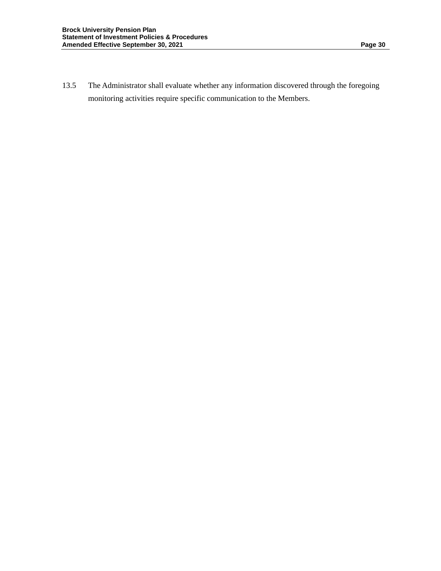13.5 The Administrator shall evaluate whether any information discovered through the foregoing monitoring activities require specific communication to the Members.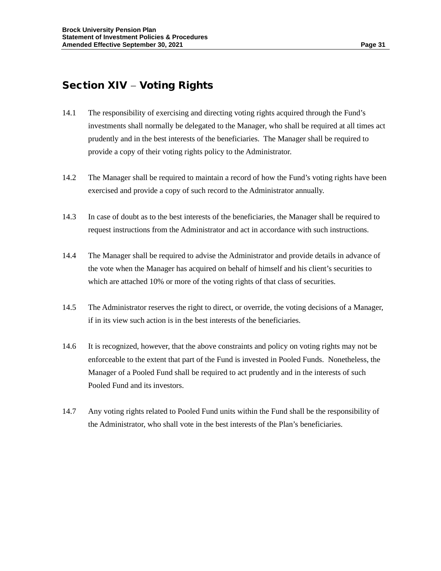## Section XIV – Voting Rights

- 14.1 The responsibility of exercising and directing voting rights acquired through the Fund's investments shall normally be delegated to the Manager, who shall be required at all times act prudently and in the best interests of the beneficiaries. The Manager shall be required to provide a copy of their voting rights policy to the Administrator.
- 14.2 The Manager shall be required to maintain a record of how the Fund's voting rights have been exercised and provide a copy of such record to the Administrator annually.
- 14.3 In case of doubt as to the best interests of the beneficiaries, the Manager shall be required to request instructions from the Administrator and act in accordance with such instructions.
- 14.4 The Manager shall be required to advise the Administrator and provide details in advance of the vote when the Manager has acquired on behalf of himself and his client's securities to which are attached 10% or more of the voting rights of that class of securities.
- 14.5 The Administrator reserves the right to direct, or override, the voting decisions of a Manager, if in its view such action is in the best interests of the beneficiaries.
- 14.6 It is recognized, however, that the above constraints and policy on voting rights may not be enforceable to the extent that part of the Fund is invested in Pooled Funds. Nonetheless, the Manager of a Pooled Fund shall be required to act prudently and in the interests of such Pooled Fund and its investors.
- 14.7 Any voting rights related to Pooled Fund units within the Fund shall be the responsibility of the Administrator, who shall vote in the best interests of the Plan's beneficiaries.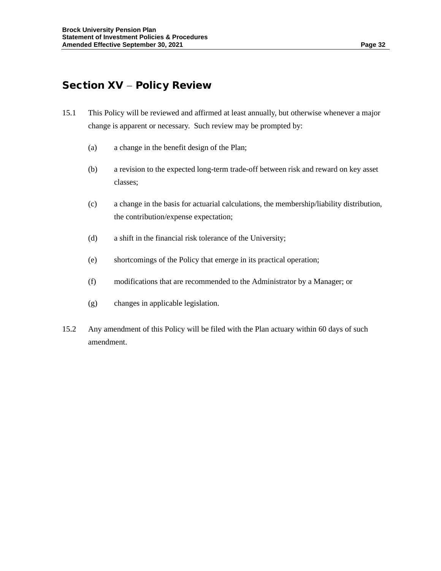## Section XV - Policy Review

- 15.1 This Policy will be reviewed and affirmed at least annually, but otherwise whenever a major change is apparent or necessary. Such review may be prompted by:
	- (a) a change in the benefit design of the Plan;
	- (b) a revision to the expected long-term trade-off between risk and reward on key asset classes;
	- (c) a change in the basis for actuarial calculations, the membership/liability distribution, the contribution/expense expectation;
	- (d) a shift in the financial risk tolerance of the University;
	- (e) shortcomings of the Policy that emerge in its practical operation;
	- (f) modifications that are recommended to the Administrator by a Manager; or
	- (g) changes in applicable legislation.
- 15.2 Any amendment of this Policy will be filed with the Plan actuary within 60 days of such amendment.